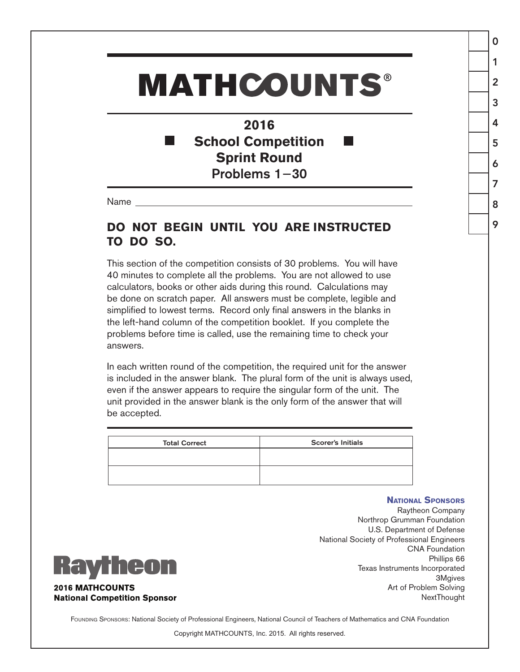## **MATHCOUNTS®**

**2016 School Competition** × **Sprint Round** Problems 1−30

Name

## **DO NOT BEGIN UNTIL YOU ARE INSTRUCTED TO DO SO.**

This section of the competition consists of 30 problems. You will have 40 minutes to complete all the problems. You are not allowed to use calculators, books or other aids during this round. Calculations may be done on scratch paper. All answers must be complete, legible and simplified to lowest terms. Record only final answers in the blanks in the left-hand column of the competition booklet. If you complete the problems before time is called, use the remaining time to check your answers.

In each written round of the competition, the required unit for the answer is included in the answer blank. The plural form of the unit is always used, even if the answer appears to require the singular form of the unit. The unit provided in the answer blank is the only form of the answer that will be accepted.

| <b>Total Correct</b> | <b>Scorer's Initials</b> |
|----------------------|--------------------------|
|                      |                          |
|                      |                          |

## **National Sponsors**

0

1

2

3

4

5

6

7

8

9

Raytheon Company Northrop Grumman Foundation U.S. Department of Defense National Society of Professional Engineers CNA Foundation Phillips 66 Texas Instruments Incorporated 3Mgives Art of Problem Solving NextThought



**2016 MATHCOUNTS National Competition Sponsor** 

FOUNDING SPONSORS: National Society of Professional Engineers, National Council of Teachers of Mathematics and CNA Foundation

Copyright MATHCOUNTS, Inc. 2015. All rights reserved.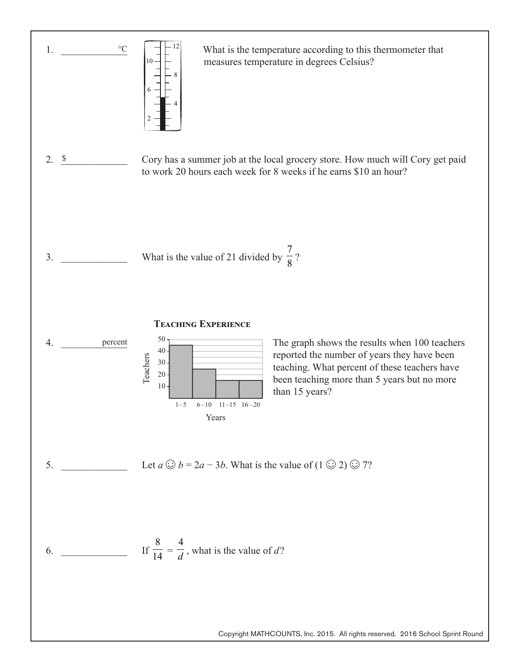

Copyright MATHCOUNTS, Inc. 2015. All rights reserved. 2016 School Sprint Round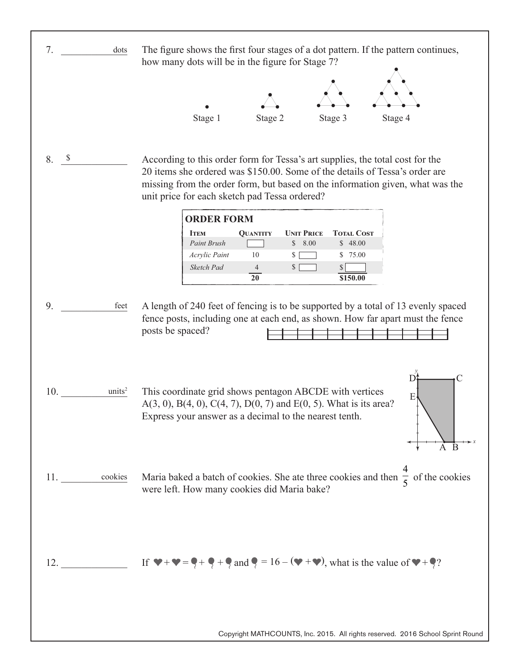| 7.<br>dots                | The figure shows the first four stages of a dot pattern. If the pattern continues,<br>how many dots will be in the figure for Stage 7?                                                                                                                                                         |
|---------------------------|------------------------------------------------------------------------------------------------------------------------------------------------------------------------------------------------------------------------------------------------------------------------------------------------|
|                           | Stage 1<br>Stage 2<br>Stage 3<br>Stage 4                                                                                                                                                                                                                                                       |
| \$<br>8.                  | According to this order form for Tessa's art supplies, the total cost for the<br>20 items she ordered was \$150.00. Some of the details of Tessa's order are<br>missing from the order form, but based on the information given, what was the<br>unit price for each sketch pad Tessa ordered? |
|                           | <b>ORDER FORM</b><br><b>TOTAL COST</b><br><b>QUANTITY</b><br><b>UNIT PRICE</b><br><b>ITEM</b><br>Paint Brush<br>\$48.00<br>\$8.00<br>$10\,$<br>Acrylic Paint<br>\$ 75.00<br>\$<br>Sketch Pad<br>\$<br>$\overline{4}$<br>S<br>20<br>\$150.00                                                    |
| 9.<br>feet                | A length of 240 feet of fencing is to be supported by a total of 13 evenly spaced<br>fence posts, including one at each end, as shown. How far apart must the fence<br>posts be spaced?                                                                                                        |
| units <sup>2</sup><br>10. | $\mathbf{D}^{\prime}$<br>This coordinate grid shows pentagon ABCDE with vertices<br>E<br>$A(3, 0), B(4, 0), C(4, 7), D(0, 7)$ and $E(0, 5)$ . What is its area?<br>Express your answer as a decimal to the nearest tenth.                                                                      |
| 11. cookies               | Maria baked a batch of cookies. She ate three cookies and then $\frac{4}{5}$ of the cookies<br>were left. How many cookies did Maria bake?                                                                                                                                                     |
| 12.                       | If $\blacktriangledown + \blacktriangledown = \blacklozenge + \blacklozenge + \blacklozenge$ and $\blacklozenge = 16 - (\blacktriangledown + \blacktriangledown)$ , what is the value of $\blacktriangledown + \blacklozenge$ ?                                                                |
|                           | Copyright MATHCOUNTS, Inc. 2015. All rights reserved. 2016 School Sprint Round                                                                                                                                                                                                                 |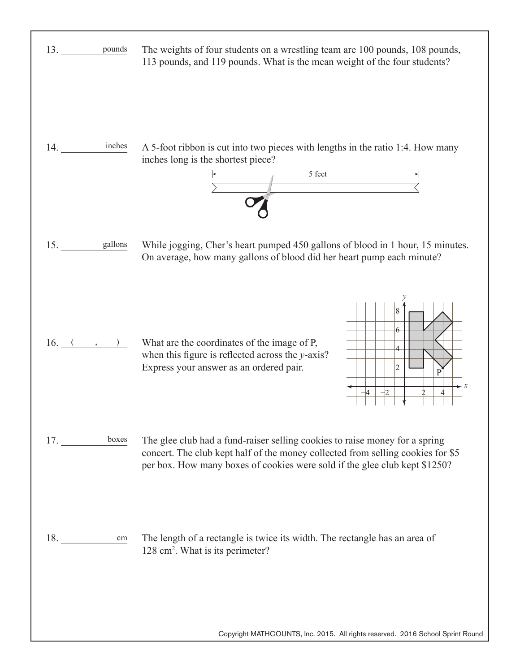| 13. pounds                             | The weights of four students on a wrestling team are 100 pounds, 108 pounds,<br>113 pounds, and 119 pounds. What is the mean weight of the four students?                                                                                    |
|----------------------------------------|----------------------------------------------------------------------------------------------------------------------------------------------------------------------------------------------------------------------------------------------|
| $\overline{\phantom{a}}$ inches<br>14. | A 5-foot ribbon is cut into two pieces with lengths in the ratio 1:4. How many<br>inches long is the shortest piece?<br>$\frac{1}{\sqrt{1-\frac{1}{2}}\sqrt{1-\frac{1}{2}}\sqrt{1-\frac{1}{2}}}}$                                            |
| 15. gallons                            | While jogging, Cher's heart pumped 450 gallons of blood in 1 hour, 15 minutes.<br>On average, how many gallons of blood did her heart pump each minute?                                                                                      |
| 16. ( , )                              | What are the coordinates of the image of P,<br>when this figure is reflected across the $y$ -axis?<br>Express your answer as an ordered pair.<br>$\mathcal{P}$<br>$\mathbf{P}$<br>$\overline{2}$<br>$-4$                                     |
| boxes<br>17.                           | The glee club had a fund-raiser selling cookies to raise money for a spring<br>concert. The club kept half of the money collected from selling cookies for \$5<br>per box. How many boxes of cookies were sold if the glee club kept \$1250? |
| 18.<br>cm                              | The length of a rectangle is twice its width. The rectangle has an area of<br>128 cm <sup>2</sup> . What is its perimeter?                                                                                                                   |

Г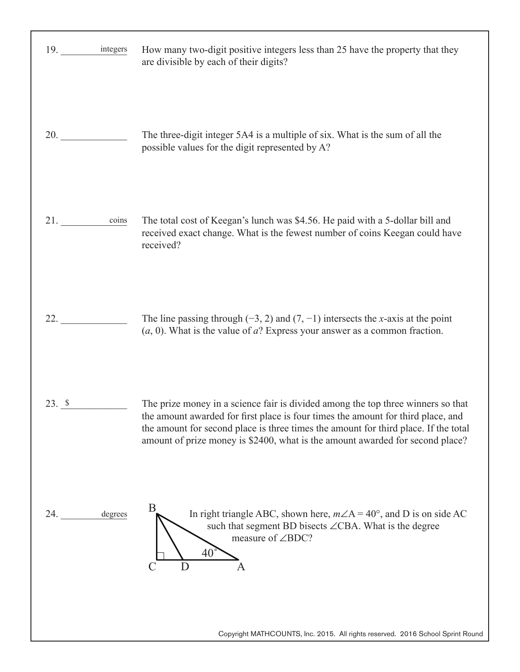| 19. integers        | How many two-digit positive integers less than 25 have the property that they<br>are divisible by each of their digits?                                                                                                                                                                                                                      |
|---------------------|----------------------------------------------------------------------------------------------------------------------------------------------------------------------------------------------------------------------------------------------------------------------------------------------------------------------------------------------|
| 20. $\qquad \qquad$ | The three-digit integer 5A4 is a multiple of six. What is the sum of all the<br>possible values for the digit represented by A?                                                                                                                                                                                                              |
| coins<br>21.        | The total cost of Keegan's lunch was \$4.56. He paid with a 5-dollar bill and<br>received exact change. What is the fewest number of coins Keegan could have<br>received?                                                                                                                                                                    |
| 22.                 | The line passing through $(-3, 2)$ and $(7, -1)$ intersects the x-axis at the point<br>$(a, 0)$ . What is the value of $a$ ? Express your answer as a common fraction.                                                                                                                                                                       |
| $23. \;$ \$         | The prize money in a science fair is divided among the top three winners so that<br>the amount awarded for first place is four times the amount for third place, and<br>the amount for second place is three times the amount for third place. If the total<br>amount of prize money is \$2400, what is the amount awarded for second place? |
| 24.<br>degrees      | B<br>In right triangle ABC, shown here, $m\angle A = 40^\circ$ , and D is on side AC<br>such that segment BD bisects ∠CBA. What is the degree<br>measure of $\angle BDC$ ?<br>40<br>D<br>A                                                                                                                                                   |
|                     | Copyright MATHCOUNTS, Inc. 2015. All rights reserved. 2016 School Sprint Round                                                                                                                                                                                                                                                               |